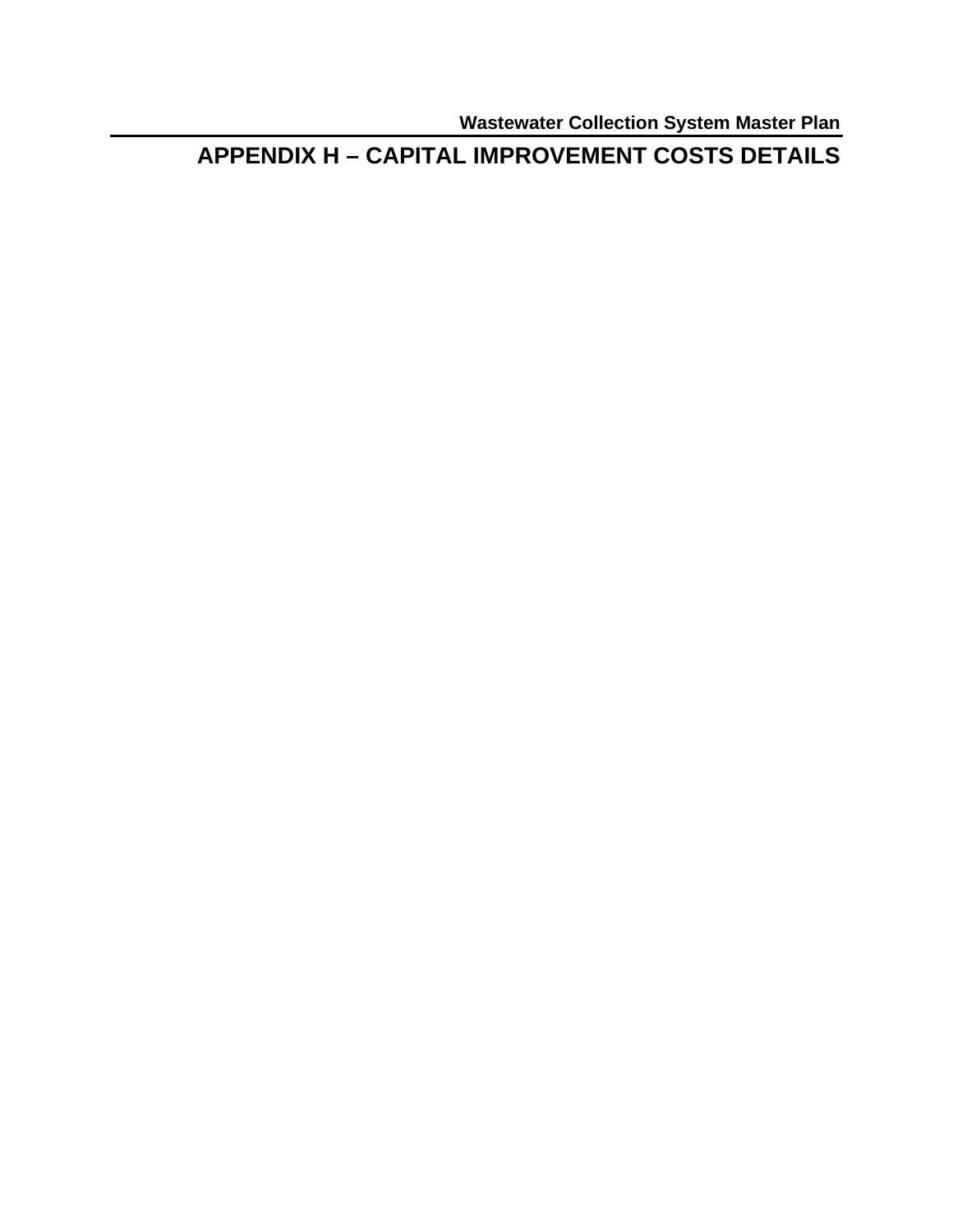**Wastewater Collection System Master Plan** 

**APPENDIX H - CAPITAL IMPROVEMENT COSTS DETAILS**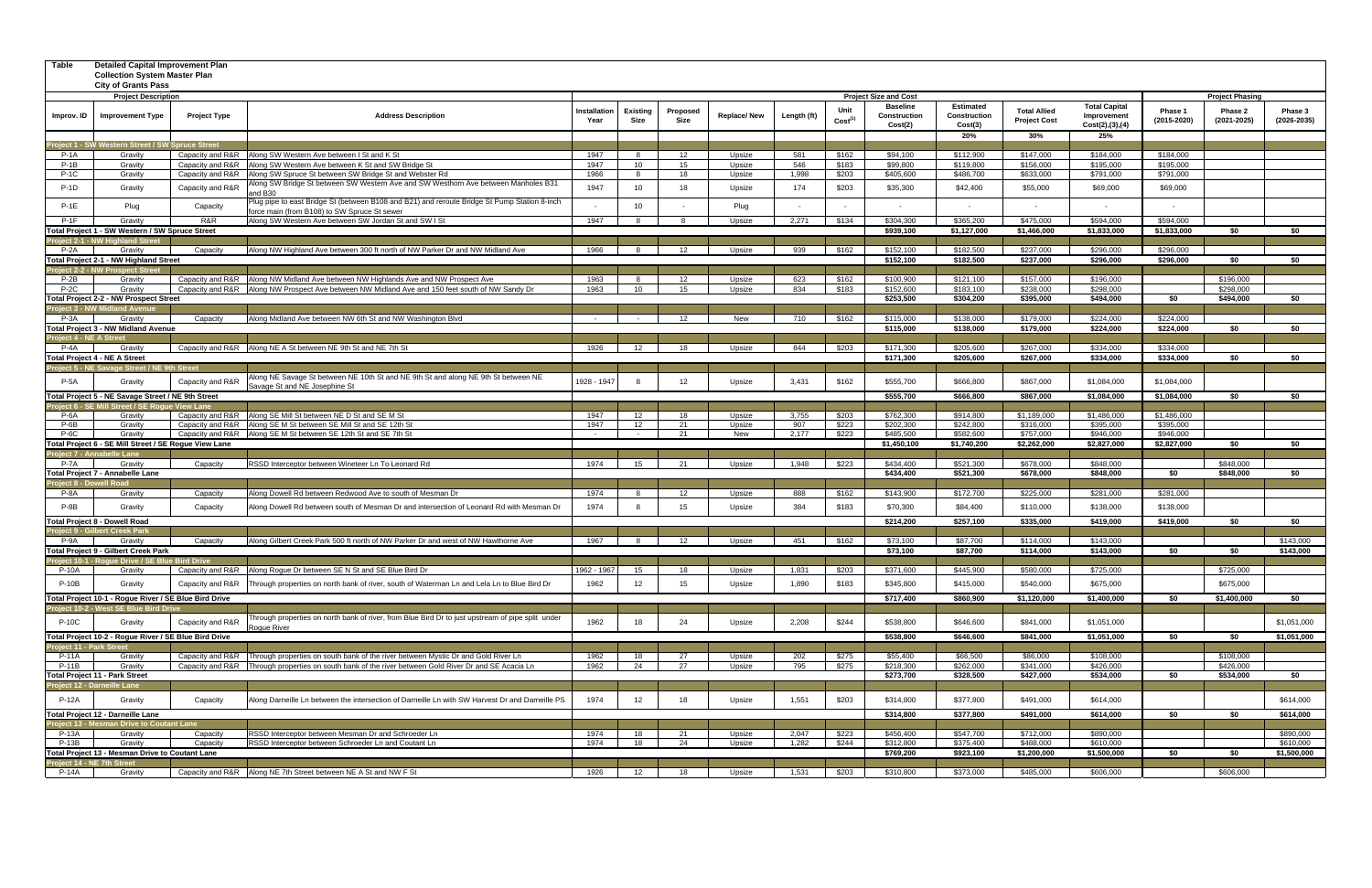| Table                   | <b>Detailed Capital Improvement Plan</b><br><b>Collection System Master Plan</b><br><b>City of Grants Pass</b> |                                      |                                                                                                                                                                                       |                              |                         |                  |                    |              |                             |                                            |                                             |                                            |                                                          |                        |                            |                        |  |
|-------------------------|----------------------------------------------------------------------------------------------------------------|--------------------------------------|---------------------------------------------------------------------------------------------------------------------------------------------------------------------------------------|------------------------------|-------------------------|------------------|--------------------|--------------|-----------------------------|--------------------------------------------|---------------------------------------------|--------------------------------------------|----------------------------------------------------------|------------------------|----------------------------|------------------------|--|
|                         | <b>Project Description</b>                                                                                     |                                      |                                                                                                                                                                                       | <b>Project Size and Cost</b> |                         |                  |                    |              |                             |                                            |                                             |                                            | <b>Project Phasing</b>                                   |                        |                            |                        |  |
| Improv. ID              | <b>Improvement Type</b>                                                                                        | <b>Project Type</b>                  | <b>Address Description</b>                                                                                                                                                            | Installation<br>Year         | <b>Existing</b><br>Size | Proposed<br>Size | <b>Replace/New</b> | Length (ft)  | Unit<br>Cost <sup>(1)</sup> | <b>Baseline</b><br>Construction<br>Cost(2) | <b>Estimated</b><br>Construction<br>Cost(3) | <b>Total Allied</b><br><b>Project Cost</b> | <b>Total Capital</b><br>Improvement<br>Cost(2), (3), (4) | Phase 1<br>(2015-2020) | Phase 2<br>$(2021 - 2025)$ | Phase 3<br>(2026-2035) |  |
|                         |                                                                                                                |                                      |                                                                                                                                                                                       |                              |                         |                  |                    |              |                             |                                            | 20%                                         | 30%                                        | 25%                                                      |                        |                            |                        |  |
|                         | roject 1 - SW Western Street / SW Spruce Street                                                                |                                      |                                                                                                                                                                                       |                              |                         |                  |                    |              |                             |                                            |                                             |                                            |                                                          |                        |                            |                        |  |
| $P-1A$                  | Gravity                                                                                                        | Capacity and R&R                     | Along SW Western Ave between I St and K St                                                                                                                                            | 1947                         |                         | 12<br>15         | Upsize             | 581          | \$162                       | \$94,100<br>\$99,800                       | \$112,900                                   | \$147,000                                  | \$184,000<br>\$195,000                                   | \$184,000              |                            |                        |  |
| $P-1B$<br><b>P-1C</b>   | Gravity<br>Gravity                                                                                             | Capacity and R&R<br>Capacity and R&R | Along SW Western Ave between K St and SW Bridge St<br>Along SW Spruce St between SW Bridge St and Webster Rd                                                                          | 1947<br>1966                 | 10<br>- 8               | 18               | Upsize<br>Upsize   | 546<br>1,998 | \$183<br>\$203              | \$405,600                                  | \$119,800<br>\$486,700                      | \$156,000<br>\$633,000                     | \$791,000                                                | \$195,000<br>\$791,000 |                            |                        |  |
| $P-1D$                  | Gravity                                                                                                        | Capacity and R&F                     | Along SW Bridge St between SW Western Ave and SW Westhom Ave between Manholes B31                                                                                                     | 1947                         | 10                      | 18               | Upsize             | 174          | \$203                       | \$35,300                                   | \$42,400                                    | \$55,000                                   | \$69,000                                                 | \$69,000               |                            |                        |  |
| $P-1E$                  | Plug                                                                                                           | Capacity                             | and B30<br>Plug pipe to east Bridge St (between B108 and B21) and reroute Bridge St Pump Station 8-inch                                                                               |                              | 10                      |                  | Plug               |              |                             |                                            |                                             |                                            |                                                          |                        |                            |                        |  |
| $P-1F$                  | Gravity                                                                                                        | R&R                                  | force main (from B108) to SW Spruce St sewer<br>Along SW Western Ave between SW Jordan St and SW I St                                                                                 | 1947                         |                         |                  | Upsize             | 2,271        | \$134                       | \$304,300                                  | \$365,200                                   | \$475,000                                  | \$594,000                                                | \$594,000              |                            |                        |  |
|                         | Total Project 1 - SW Western / SW Spruce Street                                                                |                                      |                                                                                                                                                                                       |                              |                         |                  |                    |              |                             | \$939,100                                  | \$1,127,000                                 | \$1,466,000                                | \$1,833,000                                              | \$1,833,000            | \$0                        | \$0                    |  |
|                         | roject 2-1 - NW Highland Street                                                                                |                                      |                                                                                                                                                                                       |                              |                         |                  |                    |              |                             |                                            |                                             |                                            |                                                          |                        |                            |                        |  |
| $P-2A$                  | Gravity                                                                                                        | Capacity                             | Along NW Highland Ave between 300 ft north of NW Parker Dr and NW Midland Ave                                                                                                         | 1966                         |                         | 12               | Upsize             | 939          | \$162                       | \$152.100                                  | \$182,500                                   | \$237.000                                  | \$296.000                                                | \$296.000              |                            |                        |  |
|                         | Total Project 2-1 - NW Highland Street                                                                         |                                      |                                                                                                                                                                                       |                              |                         |                  |                    |              |                             | \$152,100                                  | \$182,500                                   | \$237,000                                  | \$296,000                                                | \$296,000              | \$0                        | \$0                    |  |
|                         | roject 2-2 - NW Prospect Stree                                                                                 |                                      |                                                                                                                                                                                       |                              |                         |                  |                    |              |                             |                                            |                                             |                                            |                                                          |                        |                            |                        |  |
| $P-2B$<br>$P-2C$        | Gravity<br>Gravity                                                                                             |                                      | Capacity and R&R Along NW Midland Ave between NW Highlands Ave and NW Prospect Ave<br>Capacity and R&R Along NW Prospect Ave between NW Midland Ave and 150 feet south of NW Sandy Dr | 1963<br>1963                 | 10                      | 12<br>15         | Upsize<br>Upsize   | 623<br>834   | \$162<br>\$183              | \$100,900<br>\$152,600                     | \$121,100<br>\$183,100                      | \$157,000<br>\$238,000                     | \$196,000<br>\$298,000                                   |                        | \$196,000<br>\$298,000     |                        |  |
|                         | Total Project 2-2 - NW Prospect Street                                                                         |                                      |                                                                                                                                                                                       |                              |                         |                  |                    |              |                             | \$253,500                                  | \$304,200                                   | \$395,000                                  | \$494,000                                                | \$0                    | \$494,000                  | \$0                    |  |
|                         | roject 3 - NW Midland Avenue                                                                                   |                                      |                                                                                                                                                                                       |                              |                         |                  |                    |              |                             |                                            |                                             |                                            |                                                          |                        |                            |                        |  |
| P-3A                    | Gravity                                                                                                        | Capacity                             | Along Midland Ave between NW 6th St and NW Washington Blvd                                                                                                                            | $\sim 10^{-11}$              | $\sim$ $-$              | 12               | New                | 710          | \$162                       | \$115,000                                  | \$138,000                                   | \$179,000                                  | \$224,000                                                | \$224,000              |                            |                        |  |
|                         | Total Project 3 - NW Midland Avenue                                                                            |                                      |                                                                                                                                                                                       |                              |                         |                  |                    |              |                             | \$115,000                                  | \$138,000                                   | \$179,000                                  | \$224,000                                                | \$224,000              | \$0                        | \$0                    |  |
| 'roject 4 - NE A Street |                                                                                                                |                                      |                                                                                                                                                                                       |                              |                         |                  |                    |              |                             |                                            |                                             |                                            |                                                          |                        |                            |                        |  |
| $P-4A$                  | Gravity                                                                                                        |                                      | Capacity and R&R Along NE A St between NE 9th St and NE 7th St                                                                                                                        | 1926                         | 12                      | 18               | Upsize             | 844          | \$203                       | \$171.300                                  | \$205.600                                   | \$267,000                                  | \$334.000                                                | \$334.000              |                            |                        |  |
|                         | <b>Total Project 4 - NE A Street</b><br>Project 5 - NE Savage Street / NE 9th Street                           |                                      |                                                                                                                                                                                       |                              |                         |                  |                    |              |                             | \$171,300                                  | \$205,600                                   | \$267,000                                  | \$334,000                                                | \$334,000              | \$0                        | \$0                    |  |
| <b>P-5A</b>             | Gravity                                                                                                        | Capacity and R&R                     | Along NE Savage St between NE 10th St and NE 9th St and along NE 9th St between NE<br>Savage St and NE Josephine St                                                                   | 1928 - 1947                  | -8                      | 12               | Upsize             | 3,431        | \$162                       | \$555,700                                  | \$666,800                                   | \$867,000                                  | \$1,084,000                                              | \$1,084,000            |                            |                        |  |
|                         | Total Project 5 - NE Savage Street / NE 9th Street                                                             |                                      |                                                                                                                                                                                       |                              |                         |                  |                    |              |                             | \$555,700                                  | \$666,800                                   | \$867,000                                  | \$1,084,000                                              | \$1,084,000            | \$0                        | \$0                    |  |
| P-6A                    | roject 6 - SE Mill Street / SE Rogue View Lane<br>Gravity                                                      |                                      | Capacity and R&R Along SE Mill St between NE D St and SE M St                                                                                                                         | 1947                         | 12                      | 18               | Upsize             | 3,755        | \$203                       | \$762,300                                  | \$914,800                                   | \$1,189,000                                | \$1,486,000                                              | \$1,486,000            |                            |                        |  |
| $P-6B$                  | Gravity                                                                                                        |                                      | Capacity and R&R Along SE M St between SE Mill St and SE 12th St                                                                                                                      | 1947                         | 12                      | 21               | Upsize             | 907          | \$223                       | \$202,300                                  | \$242,800                                   | \$316,000                                  | \$395,000                                                | \$395,000              |                            |                        |  |
| P-6C                    | Gravity                                                                                                        |                                      | Capacity and R&R Along SE M St between SE 12th St and SE 7th St                                                                                                                       | $\sim$                       | $\sim$                  | 21               | New                | 2,177        | \$223                       | \$485,500                                  | \$582,600                                   | \$757,000                                  | \$946,000                                                | \$946,000              |                            |                        |  |
|                         | <b>Total Project 6 - SE Mill Street / SE Rogue View Lane</b>                                                   |                                      |                                                                                                                                                                                       |                              |                         |                  |                    |              |                             | \$1,450,100                                | \$1,740,200                                 | \$2,262,000                                | \$2,827,000                                              | \$2,827,000            | \$0                        | \$0                    |  |
|                         | roject 7 - Annabelle Lane                                                                                      |                                      |                                                                                                                                                                                       |                              |                         |                  |                    |              |                             |                                            |                                             |                                            |                                                          |                        |                            |                        |  |
| <b>P-7A</b>             | Gravity<br>Total Project 7 - Annabelle Lane                                                                    | Capacity                             | RSSD Interceptor between Wineteer Ln To Leonard Rd                                                                                                                                    | 1974                         | 15                      | 21               | Upsize             | 1,948        | \$223                       | \$434,400<br>\$434.400                     | \$521,300<br>\$521,300                      | \$678,000<br>\$678,000                     | \$848,000<br>\$848,000                                   | \$0                    | \$848,000<br>\$848,000     | \$0                    |  |
|                         | roject 8 - Dowell Road                                                                                         |                                      |                                                                                                                                                                                       |                              |                         |                  |                    |              |                             |                                            |                                             |                                            |                                                          |                        |                            |                        |  |
| P-8A                    | Gravity                                                                                                        | Capacity                             | Along Dowell Rd between Redwood Ave to south of Mesman Dr                                                                                                                             | 1974                         | я.                      | 12               | Upsize             | 888          | \$162                       | \$143,900                                  | \$172,700                                   | \$225,000                                  | \$281,000                                                | \$281,000              |                            |                        |  |
| P-8B                    | Gravity                                                                                                        | Capacity                             | Along Dowell Rd between south of Mesman Dr and intersection of Leonard Rd with Mesman Dr                                                                                              | 1974                         |                         | 15               | Upsize             | 384          | \$183                       | \$70,300                                   | \$84,400                                    | \$110,000                                  | \$138,000                                                | \$138,000              |                            |                        |  |
|                         | <b>Total Project 8 - Dowell Road</b>                                                                           |                                      |                                                                                                                                                                                       |                              |                         |                  |                    |              |                             | \$214,200                                  | \$257,100                                   | \$335,000                                  | \$419,000                                                | \$419,000              | \$0                        | \$0                    |  |
|                         | roject 9 - Gilbert Creek Parl                                                                                  |                                      |                                                                                                                                                                                       |                              |                         |                  |                    |              |                             |                                            |                                             |                                            |                                                          |                        |                            |                        |  |
| P-9A                    | Gravitv                                                                                                        | Capacity                             | Along Gilbert Creek Park 500 ft north of NW Parker Dr and west of NW Hawthorne Ave                                                                                                    | 1967                         | - 8                     | 12               | Upsize             | 451          | \$162                       | \$73,100                                   | \$87,700                                    | \$114,000                                  | \$143,000                                                |                        |                            | \$143.000              |  |
|                         | <b>Total Project 9 - Gilbert Creek Park</b>                                                                    |                                      |                                                                                                                                                                                       |                              |                         |                  |                    |              |                             | \$73,100                                   | \$87,700                                    | \$114,000                                  | \$143,000                                                | \$0                    | \$0                        | \$143,000              |  |
|                         | 1 - Rogue Drive / SE Blue Bird Dri                                                                             |                                      |                                                                                                                                                                                       |                              |                         |                  |                    |              |                             |                                            |                                             |                                            |                                                          |                        |                            |                        |  |
| P-10A                   | Gravity                                                                                                        |                                      | Capacity and R&R Along Rogue Dr between SE N St and SE Blue Bird Dr                                                                                                                   | 1962 - 1967                  | 15                      | 18               | Upsize             | 1,831        | \$203                       | \$371,600                                  | \$445,900                                   | \$580,000                                  | \$725,000                                                |                        | \$725,000                  |                        |  |
| <b>P-10B</b>            | Gravity                                                                                                        | Capacity and R&R                     | Through properties on north bank of river, south of Waterman Ln and Lela Ln to Blue Bird Dr                                                                                           | 1962                         | 12 <sup>2</sup>         | 15               | Upsize             | 1,890        | \$183                       | \$345,800                                  | \$415,000                                   | \$540,000                                  | \$675,000                                                |                        | \$675,000                  |                        |  |
|                         | Total Project 10-1 - Rogue River / SE Blue Bird Drive                                                          |                                      |                                                                                                                                                                                       |                              |                         |                  |                    |              |                             | \$717,400                                  | \$860,900                                   | \$1,120,000                                | \$1,400,000                                              | \$0                    | \$1,400,000                | \$0                    |  |
| <b>P-10C</b>            | roject 10-2 - West SE Blue Bird Drive<br>Gravity                                                               | Capacity and R&F                     | Through properties on north bank of river, from Blue Bird Dr to just upstream of pipe split under                                                                                     | 1962                         | 18                      | 24               | Upsize             | 2,208        | \$244                       | \$538,800                                  | \$646,600                                   | \$841,000                                  | \$1,051,000                                              |                        |                            | \$1,051,000            |  |
|                         | Total Project 10-2 - Rogue River / SE Blue Bird Drive                                                          |                                      | Roque River                                                                                                                                                                           |                              |                         |                  |                    |              |                             | \$538,800                                  | \$646,600                                   | \$841,000                                  | \$1,051,000                                              | \$0                    | \$0                        | \$1,051,000            |  |
| roject 11 - Park Street |                                                                                                                |                                      |                                                                                                                                                                                       |                              |                         |                  |                    |              |                             |                                            |                                             |                                            |                                                          |                        |                            |                        |  |
| P-11A                   | Gravity                                                                                                        | Capacity and R&R                     | Through properties on south bank of the river between Mystic Dr and Gold River Ln                                                                                                     | 1962                         | 18                      | 27               | Upsize             | 202          | \$275                       | \$55,400                                   | \$66,500                                    | \$86,000                                   | \$108,000                                                |                        | \$108,000                  |                        |  |
| <b>P-11B</b>            | Gravity<br><b>Total Project 11 - Park Street</b>                                                               | Capacity and R&R                     | Through properties on south bank of the river between Gold River Dr and SE Acacia Ln                                                                                                  | 1962                         | 24                      | 27               | Upsize             | 795          | \$275                       | \$218,300<br>\$273,700                     | \$262,000<br>\$328,500                      | \$341,000<br>\$427,000                     | \$426,000<br>\$534,000                                   | \$0                    | \$426,000<br>\$534,000     | \$0                    |  |
|                         | roject 12 - Darneille Lane                                                                                     |                                      |                                                                                                                                                                                       |                              |                         |                  |                    |              |                             |                                            |                                             |                                            |                                                          |                        |                            |                        |  |
| <b>P-12A</b>            | Gravity                                                                                                        | Capacity                             | Along Darneille Ln between the intersection of Darneille Ln with SW Harvest Dr and Darneille PS                                                                                       | 1974                         | 12                      | 18               | Upsize             | 1,551        | \$203                       | \$314,800                                  | \$377,800                                   | \$491,000                                  | \$614,000                                                |                        |                            | \$614,000              |  |
|                         | Total Project 12 - Darneille Lane                                                                              |                                      |                                                                                                                                                                                       |                              |                         |                  |                    |              |                             | \$314,800                                  | \$377,800                                   | \$491,000                                  | \$614,000                                                | \$0                    | \$0                        | \$614,000              |  |
|                         | <b>Project 13 - Mesman Drive to Coutant Lane</b>                                                               |                                      |                                                                                                                                                                                       |                              |                         |                  |                    |              |                             |                                            |                                             |                                            |                                                          |                        |                            |                        |  |
| P-13A                   | Gravity                                                                                                        | Capacity                             | RSSD Interceptor between Mesman Dr and Schroeder Ln                                                                                                                                   | 1974                         | 18                      | 21               | Upsize             | 2,047        | \$223                       | \$456,400                                  | \$547,700                                   | \$712,000                                  | \$890,000                                                |                        |                            | \$890,000              |  |
| $P-13B$                 | Gravity<br>Total Project 13 - Mesman Drive to Coutant Lane                                                     | Capacity                             | RSSD Interceptor between Schroeder Ln and Coutant Ln                                                                                                                                  | 1974                         | 18                      | 24               | Upsize             | 1,282        | \$244                       | \$312,800<br>\$769,200                     | \$375,400<br>\$923,100                      | \$488,000                                  | \$610,000                                                | \$0                    |                            | \$610,000              |  |
|                         | roject 14 - NE 7th Street                                                                                      |                                      |                                                                                                                                                                                       |                              |                         |                  |                    |              |                             |                                            |                                             | \$1,200,000                                | \$1,500,000                                              |                        | \$0                        | \$1,500,000            |  |
| P-14A                   | Gravity                                                                                                        |                                      | Capacity and R&R Along NE 7th Street between NE A St and NW F St                                                                                                                      | 1926                         | 12                      | 18               | Upsize             | 1,531        | \$203                       | \$310,800                                  | \$373,000                                   | \$485,000                                  | \$606,000                                                |                        | \$606,000                  |                        |  |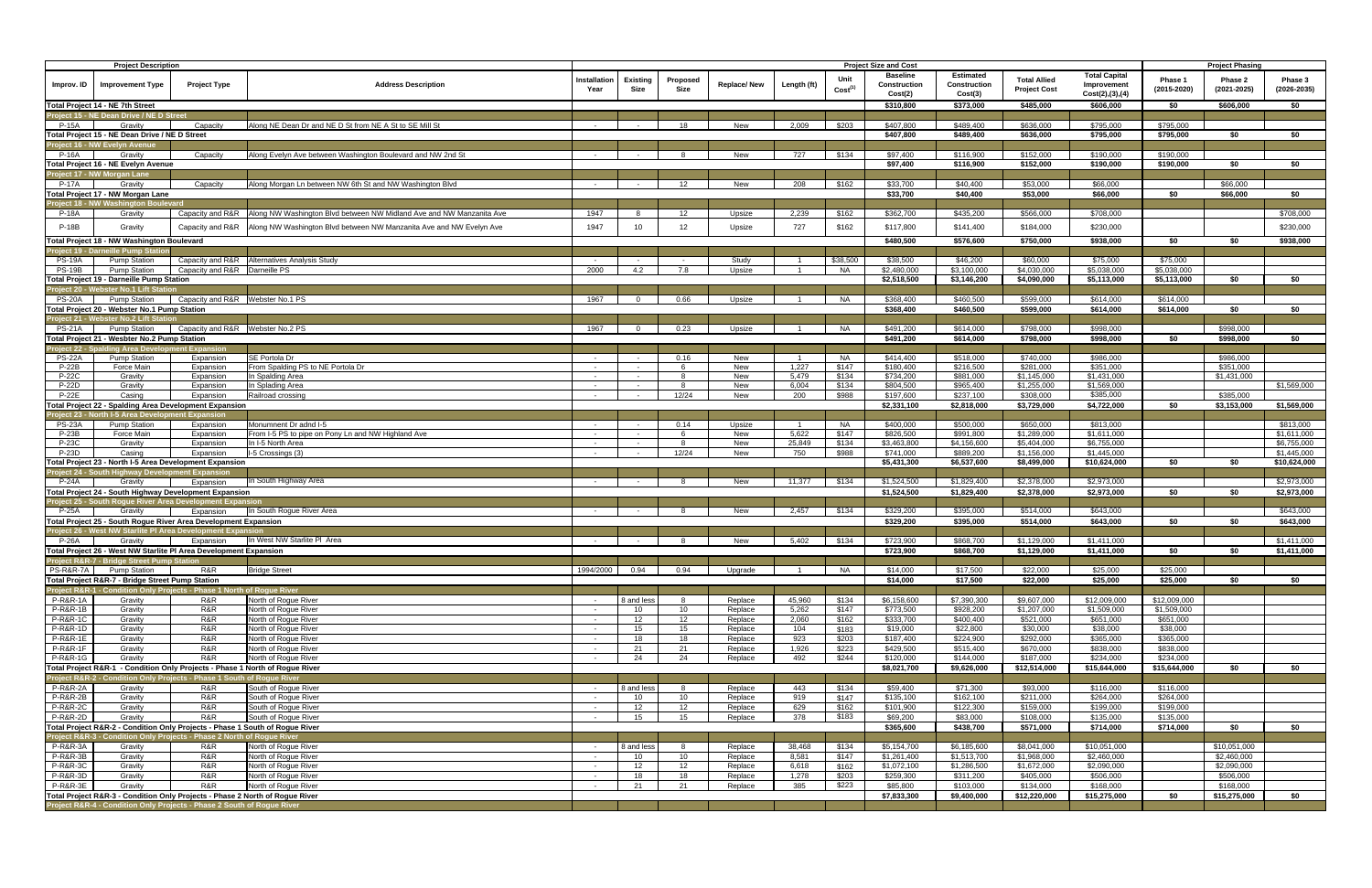|                                            | <b>Project Description</b>                                                                                                     |                                  |                                                                                         |                          |                       |                       |                    | <b>Project Size and Cost</b> |                             |                                 |                                  |                                            | <b>Project Phasing</b>              |                        |                            |                            |
|--------------------------------------------|--------------------------------------------------------------------------------------------------------------------------------|----------------------------------|-----------------------------------------------------------------------------------------|--------------------------|-----------------------|-----------------------|--------------------|------------------------------|-----------------------------|---------------------------------|----------------------------------|--------------------------------------------|-------------------------------------|------------------------|----------------------------|----------------------------|
| Improv. ID                                 | <b>Improvement Type</b>                                                                                                        | <b>Project Type</b>              | <b>Address Description</b>                                                              | Installation<br>Year     | Existing<br>Size      | Proposed<br>Size      | <b>Replace/New</b> | Length (ft)                  | Unit<br>Cost <sup>(1)</sup> | <b>Baseline</b><br>Construction | <b>Estimated</b><br>Construction | <b>Total Allied</b><br><b>Project Cost</b> | <b>Total Capital</b><br>Improvement | Phase 1<br>(2015-2020) | Phase 2<br>$(2021 - 2025)$ | Phase 3<br>$(2026 - 2035)$ |
|                                            | Total Project 14 - NE 7th Street                                                                                               |                                  |                                                                                         |                          |                       |                       |                    |                              |                             | Cost(2)<br>\$310,800            | Cost(3)<br>\$373,000             | \$485,000                                  | Cost(2),(3),(4)<br>\$606,000        | \$0                    | \$606,000                  | \$0                        |
|                                            | Project 15 - NE Dean Drive / NE D Street                                                                                       |                                  |                                                                                         |                          |                       |                       |                    |                              |                             |                                 |                                  |                                            |                                     |                        |                            |                            |
| P-15A                                      | Gravity                                                                                                                        | Capacity                         | Along NE Dean Dr and NE D St from NE A St to SE Mill St                                 | $\sim$                   |                       | 18                    | New                | 2.009                        | \$203                       | \$407,800                       | \$489,400                        | \$636,000                                  | \$795,000                           | \$795,000              |                            |                            |
|                                            | Total Project 15 - NE Dean Drive / NE D Street                                                                                 |                                  |                                                                                         |                          |                       |                       |                    |                              |                             | \$407,800                       | \$489,400                        | \$636,000                                  | \$795,000                           | \$795,000              | \$0                        | \$0                        |
| P-16A                                      | P <u>roject 1</u> 6 - NW Evelyn Avenue<br>Gravity                                                                              | Capacity                         | Along Evelyn Ave between Washington Boulevard and NW 2nd St                             | $\sim$                   |                       |                       | New                | 727                          | \$134                       | \$97,400                        | \$116,900                        | \$152,000                                  | \$190,000                           | \$190,000              |                            |                            |
|                                            | Total Project 16 - NE Evelyn Avenue                                                                                            |                                  |                                                                                         |                          |                       |                       |                    |                              |                             | \$97,400                        | \$116,900                        | \$152,000                                  | \$190,000                           | \$190,000              | \$0                        | \$0                        |
|                                            | Project 17 - NW Morgan Lane                                                                                                    |                                  |                                                                                         |                          |                       |                       |                    |                              |                             |                                 |                                  |                                            |                                     |                        |                            |                            |
| P-17A                                      | Gravity                                                                                                                        | Capacity                         | Along Morgan Ln between NW 6th St and NW Washington Blvd                                | $\sim$                   | $\sim$ $-$            | 12                    | New                | 208                          | \$162                       | \$33,700                        | \$40,400                         | \$53,000                                   | \$66,000                            |                        | \$66,000                   |                            |
|                                            | Total Project 17 - NW Morgan Lane                                                                                              |                                  |                                                                                         |                          |                       |                       |                    |                              |                             | \$33,700                        | \$40,400                         | \$53,000                                   | \$66,000                            | \$0                    | \$66,000                   | \$0                        |
| P-18A                                      | roject 18 - NW Washington Boulevard<br>Gravity                                                                                 |                                  | Capacity and R&R   Along NW Washington Blvd between NW Midland Ave and NW Manzanita Ave | 1947                     | -8                    | 12                    | Upsize             | 2,239                        | \$162                       | \$362,700                       | \$435,200                        | \$566,000                                  | \$708,000                           |                        |                            | \$708,000                  |
| <b>P-18B</b>                               | Gravity                                                                                                                        |                                  | Capacity and R&R   Along NW Washington Blvd between NW Manzanita Ave and NW Evelyn Ave  | 1947                     | 10 <sup>1</sup>       | 12                    | Upsize             | 727                          | \$162                       | \$117,800                       | \$141,400                        | \$184,000                                  | \$230,000                           |                        |                            | \$230,000                  |
|                                            |                                                                                                                                |                                  |                                                                                         |                          |                       |                       |                    |                              |                             |                                 |                                  |                                            |                                     |                        |                            |                            |
|                                            | Total Project 18 - NW Washington Boulevard<br>roject 19 - Darneille Pump Statior                                               |                                  |                                                                                         |                          |                       |                       |                    |                              |                             | \$480,500                       | \$576,600                        | \$750,000                                  | \$938,000                           | \$0                    | \$0                        | \$938,000                  |
| <b>PS-19A</b>                              | <b>Pump Station</b>                                                                                                            |                                  | Capacity and R&R Alternatives Analysis Study                                            |                          |                       |                       | Study              |                              | \$38,500                    | \$38,500                        | \$46,200                         | \$60,000                                   | \$75,000                            | \$75,000               |                            |                            |
| <b>PS-19B</b>                              | <b>Pump Station</b>                                                                                                            | Capacity and R&R Darneille PS    |                                                                                         | 2000                     | 4.2                   | 7.8                   | Upsize             | $\overline{1}$               | NA                          | \$2,480,000                     | \$3,100,000                      | \$4,030,000                                | \$5,038,000                         | \$5,038,000            |                            |                            |
|                                            | Total Project 19 - Darneille Pump Station                                                                                      |                                  |                                                                                         |                          |                       |                       |                    |                              |                             | \$2,518,500                     | \$3,146,200                      | \$4,090,000                                | \$5,113,000                         | \$5,113,000            | \$0                        | \$0                        |
|                                            | Project 20 - Webster No.1 Lift Station                                                                                         |                                  |                                                                                         |                          |                       |                       |                    |                              |                             |                                 |                                  |                                            |                                     |                        |                            |                            |
| <b>PS-20A</b>                              | <b>Pump Station</b><br>Total Project 20 - Webster No.1 Pump Station                                                            | Capacity and R&R Webster No.1 PS |                                                                                         | 1967                     | $\Omega$              | 0.66                  | Upsize             |                              | <b>NA</b>                   | \$368,400<br>\$368,400          | \$460,500<br>\$460,500           | \$599.000<br>\$599,000                     | \$614,000<br>\$614,000              | \$614,000<br>\$614,000 | \$0                        | \$0                        |
|                                            | roject 21 - Webster No.2 Lift Station                                                                                          |                                  |                                                                                         |                          |                       |                       |                    |                              |                             |                                 |                                  |                                            |                                     |                        |                            |                            |
| <b>PS-21A</b>                              | <b>Pump Station</b>                                                                                                            | Capacity and R&R Webster No.2 PS |                                                                                         | 1967                     | $\Omega$              | 0.23                  | Upsize             |                              | NA                          | \$491,200                       | \$614,000                        | \$798,000                                  | \$998,000                           |                        | \$998,000                  |                            |
|                                            | Total Project 21 - Wesbter No.2 Pump Station                                                                                   |                                  |                                                                                         |                          |                       |                       |                    |                              |                             | \$491,200                       | \$614,000                        | \$798,000                                  | \$998,000                           | \$0                    | \$998,000                  | \$0                        |
| roject 22 - S                              |                                                                                                                                | ling Area Development Expansion  |                                                                                         |                          |                       |                       |                    |                              |                             |                                 |                                  |                                            |                                     |                        |                            |                            |
| <b>PS-22A</b><br>P-22B                     | <b>Pump Station</b><br>Force Main                                                                                              | Expansion<br>Expansion           | SE Portola Dr<br>From Spalding PS to NE Portola Dr                                      | $\sim$<br>$\sim$ $-$     | $\sim$                | 0.16<br>- 6           | New<br>New         | $\overline{1}$<br>1,227      | <b>NA</b><br>\$147          | \$414,400<br>\$180,400          | \$518,000<br>\$216,500           | \$740,000<br>\$281,000                     | \$986,000<br>\$351,000              |                        | \$986,000<br>\$351,000     |                            |
| <b>P-22C</b>                               | Gravity                                                                                                                        | Expansion                        | In Spalding Area                                                                        | $\sim$                   |                       | 8                     | New                | 5,479                        | \$134                       | \$734,200                       | \$881,000                        | \$1,145,000                                | \$1,431,000                         |                        | \$1,431,000                |                            |
| <b>P-22D</b>                               | Gravity                                                                                                                        | Expansion                        | In Splading Area                                                                        | $\sim$                   |                       |                       | New                | 6,004                        | \$134                       | \$804,500                       | \$965,400                        | \$1,255,000                                | \$1,569,000                         |                        |                            | \$1,569,000                |
| <b>P-22E</b>                               | Casing                                                                                                                         | Expansion                        | Railroad crossing                                                                       | $\sim$                   |                       | 12/24                 | New                | 200                          | \$988                       | \$197,600                       | \$237,100                        | \$308,000                                  | \$385,000                           |                        | \$385,000                  |                            |
|                                            | <b>Total Project 22 - Spalding Area Development Expansion</b>                                                                  |                                  |                                                                                         |                          |                       |                       |                    |                              |                             | \$2,331,100                     | \$2,818,000                      | \$3,729,000                                | \$4,722,000                         | \$0                    | \$3,153,000                | \$1,569,000                |
| Project 23 - N<br><b>PS-23A</b>            | rth I-5 Area Deve<br><b>Pump Station</b>                                                                                       | ment Expansion<br>Expansion      | Monumnent Dr adnd I-5                                                                   | $\sim 100$               | $\sim 10^{-1}$        | 0.14                  | Upsize             | $\overline{1}$               | <b>NA</b>                   | \$400,000                       | \$500,000                        | \$650,000                                  | \$813,000                           |                        |                            | \$813,000                  |
| <b>P-23B</b>                               | Force Main                                                                                                                     | Expansion                        | From I-5 PS to pipe on Pony Ln and NW Highland Ave                                      | $\sim$                   | $\sim$                | -6                    | New                | 5,622                        | \$147                       | \$826,500                       | \$991,800                        | \$1,289,000                                | \$1,611,000                         |                        |                            | \$1,611,000                |
| P-23C                                      | Gravity                                                                                                                        | Expansion                        | In I-5 North Area                                                                       | $\sim$ $-$               | $\sim$                | 8                     | New                | 25,849                       | \$134                       | \$3,463,800                     | \$4,156,600                      | \$5,404,000                                | \$6,755,000                         |                        |                            | \$6,755,000                |
| P-23D                                      | Casing                                                                                                                         | Expansion                        | I-5 Crossings (3)                                                                       |                          |                       | 12/24                 | New                | 750                          | \$988                       | \$741.000                       | \$889,200                        | \$1.156.000                                | \$1,445,000                         |                        |                            | \$1,445,000                |
| roject 24 - S                              | Total Project 23 - North I-5 Area Development Expansion<br>uth Highway Development Expansior                                   |                                  |                                                                                         |                          |                       |                       |                    |                              |                             | \$5,431,300                     | \$6,537,600                      | \$8,499,000                                | \$10,624,000                        | \$0                    | \$0                        | \$10,624,000               |
| P-24A                                      | Gravity                                                                                                                        | Expansion                        | In South Highway Area                                                                   | $\sim$                   |                       |                       | New                | 11,377                       | \$134                       | \$1,524,500                     | \$1,829,400                      | \$2,378,000                                | \$2,973,000                         |                        |                            | \$2,973,000                |
|                                            | Total Project 24 - South Highway Development Expansion                                                                         |                                  |                                                                                         |                          |                       |                       |                    |                              |                             | \$1,524,500                     | \$1,829,400                      | \$2,378,000                                | \$2,973,000                         | \$0                    | \$0                        | \$2,973,000                |
|                                            | Proiect 25 - South Roque River Area Development Expansion                                                                      |                                  |                                                                                         |                          |                       |                       |                    |                              |                             |                                 |                                  |                                            |                                     |                        |                            |                            |
| <b>P-25A</b>                               | Gravity                                                                                                                        | Expansion                        | In South Rogue River Area                                                               | $\sim$ $-$               | $\sim$                |                       | New                | 2,457                        | \$134                       | \$329,200                       | \$395,000                        | \$514,000                                  | \$643,000                           |                        |                            | \$643,000                  |
|                                            | Total Project 25 - South Rogue River Area Development Expansion<br>Project 26 - West NW Starlite PI Area Development Expansion |                                  |                                                                                         |                          |                       |                       |                    |                              |                             | \$329,200                       | \$395,000                        | \$514,000                                  | \$643,000                           | \$0                    | \$0                        | \$643,000                  |
| P-26A                                      | Gravity                                                                                                                        | Expansion                        | In West NW Starlite PI Area                                                             | $\sim$                   |                       |                       | New                | 5,402                        | \$134                       | \$723,900                       | \$868,700                        | \$1,129,000                                | \$1,411,000                         |                        |                            | \$1,411,000                |
|                                            | Total Project 26 - West NW Starlite PI Area Development Expansion                                                              |                                  |                                                                                         |                          |                       |                       |                    |                              |                             | \$723,900                       | \$868,700                        | \$1,129,000                                | \$1,411,000                         | \$0                    | \$0                        | \$1,411,000                |
|                                            | Proiect R&R-7 - Bridge Street Pump Station                                                                                     |                                  |                                                                                         |                          |                       |                       |                    |                              |                             |                                 |                                  |                                            |                                     |                        |                            |                            |
|                                            | PS-R&R-7A Pump Station                                                                                                         | R&R                              | <b>Bridge Street</b>                                                                    | 1994/2000                | 0.94                  | 0.94                  | Upgrade            |                              | <b>NA</b>                   | \$14,000                        | \$17,500                         | \$22,000                                   | \$25,000                            | \$25,000               |                            |                            |
|                                            | Total Project R&R-7 - Bridge Street Pump Station<br>Project R&R-1 - Condition Only Projects - Phase 1 North of Roque River     |                                  |                                                                                         |                          |                       |                       |                    |                              |                             | \$14,000                        | \$17,500                         | \$22,000                                   | \$25,000                            | \$25,000               | \$0                        | \$0                        |
| <b>P-R&amp;R-1A</b>                        | Gravity                                                                                                                        | R&R                              | North of Rogue River                                                                    | $\sim$ $-$               | 8 and less            | 8                     | Replace            | 45,960                       | \$134                       | \$6,158,600                     | \$7,390,300                      | \$9,607,000                                | \$12,009,000                        | \$12,009,000           |                            |                            |
| <b>P-R&amp;R-1B</b>                        | Gravity                                                                                                                        | R&R                              | North of Rogue River                                                                    | $\sim$ $-$               | 10                    | 10                    | Replace            | 5,262                        | \$147                       | \$773,500                       | \$928,200                        | \$1,207,000                                | \$1,509,000                         | \$1,509,000            |                            |                            |
| <b>P-R&amp;R-1C</b>                        | Gravity                                                                                                                        | R&R                              | North of Roque River                                                                    | $\sim 10^{-1}$           | 12                    | 12                    | Replace            | 2,060                        | \$162                       | \$333,700                       | \$400,400                        | \$521,000                                  | \$651,000                           | \$651,000              |                            |                            |
| <b>P-R&amp;R-1D</b>                        | Gravity                                                                                                                        | R&R                              | North of Rogue River                                                                    | $\sim$                   | 15                    | 15                    | Replace            | 104                          | \$183                       | \$19,000                        | \$22,800                         | \$30,000                                   | \$38,000                            | \$38,000               |                            |                            |
| <b>P-R&amp;R-1E</b><br><b>P-R&amp;R-1F</b> | Gravity<br>Gravity                                                                                                             | R&R<br>R&R                       | North of Rogue River<br>North of Rogue River                                            | $\sim$ $-$<br>$\sim$ $-$ | 18<br>21              | 18<br>21              | Replace<br>Replace | 923<br>1,926                 | \$203<br>\$223              | \$187,400<br>\$429,500          | \$224,900<br>\$515,400           | \$292,000<br>\$670,000                     | \$365,000<br>\$838,000              | \$365,000<br>\$838,000 |                            |                            |
| <b>P-R&amp;R-1G</b>                        | Gravity                                                                                                                        | R&R                              | North of Rogue River                                                                    | $\sim$                   | 24                    | 24                    | Replace            | 492                          | \$244                       | \$120,000                       | \$144.000                        | \$187,000                                  | \$234,000                           | \$234,000              |                            |                            |
|                                            |                                                                                                                                |                                  | Total Project R&R-1 - Condition Only Projects - Phase 1 North of Rogue River            |                          |                       |                       |                    |                              |                             | \$8,021,700                     | \$9,626,000                      | \$12,514,000                               | \$15,644,000                        | \$15,644,000           | \$0                        | \$0                        |
|                                            | Project R&R-2 - Condition Only Projects - Phase 1 South of Rogue River                                                         |                                  |                                                                                         |                          |                       |                       |                    |                              |                             |                                 |                                  |                                            |                                     |                        |                            |                            |
| <b>P-R&amp;R-2A</b>                        | Gravity                                                                                                                        | R&R                              | South of Roque River                                                                    | $\sim$                   | 8 and less            | 8                     | Replace            | 443                          | \$134                       | \$59,400                        | \$71,300                         | \$93,000                                   | \$116,000                           | \$116,000              |                            |                            |
| <b>P-R&amp;R-2B</b><br><b>P-R&amp;R-2C</b> | Gravity<br>Gravity                                                                                                             | R&R<br>R&R                       | South of Rogue River<br>South of Rogue River                                            | $\sim$<br>$\sim$         | 10<br>12              | 10 <sup>1</sup><br>12 | Replace<br>Replace | 919<br>629                   | \$147<br>\$162              | \$135,100<br>\$101,900          | \$162,100<br>\$122,300           | \$211,000<br>\$159,000                     | \$264,000<br>\$199,000              | \$264,000<br>\$199,000 |                            |                            |
| <b>P-R&amp;R-2D</b>                        | Gravity                                                                                                                        | R&R                              | South of Roque River                                                                    | $\sim$                   | 15                    | 15                    | Replace            | 378                          | \$183                       | \$69,200                        | \$83,000                         | \$108,000                                  | \$135,000                           | \$135,000              |                            |                            |
|                                            |                                                                                                                                |                                  | Total Project R&R-2 - Condition Only Projects - Phase 1 South of Rogue River            |                          |                       |                       |                    |                              |                             | \$365,600                       | \$438,700                        | \$571,000                                  | \$714,000                           | \$714,000              | \$0                        | \$0                        |
|                                            | Project R&R-3 - Condition Only Projects - Phase 2 North of Rogue River                                                         |                                  |                                                                                         |                          |                       |                       |                    |                              |                             |                                 |                                  |                                            |                                     |                        |                            |                            |
| <b>P-R&amp;R-3A</b>                        | Gravity                                                                                                                        | R&R                              | North of Roque River                                                                    | $\sim 10^{-11}$          | 8 and less            | 8                     | Replace            | 38,468                       | \$134                       | \$5,154,700                     | \$6,185,600                      | \$8,041,000                                | \$10,051,000                        |                        | \$10,051,000               |                            |
| <b>P-R&amp;R-3B</b><br><b>P-R&amp;R-3C</b> | Gravity<br>Gravity                                                                                                             | R&R<br>R&R                       | North of Rogue River<br>North of Rogue River                                            | $\sim$<br>$\sim$ $-$     | 10<br>12 <sup>2</sup> | 10 <sup>1</sup><br>12 | Replace<br>Replace | 8,581<br>6,618               | \$147<br>\$162              | \$1,261,400<br>\$1,072,100      | \$1,513,700<br>\$1,286,500       | \$1,968,000<br>\$1,672,000                 | \$2,460,000<br>\$2,090,000          |                        | \$2,460,000<br>\$2,090,000 |                            |
| P-R&R-3D                                   | Gravity                                                                                                                        | R&R                              | North of Rogue River                                                                    | $\sim$ $-$               | 18                    | 18                    | Replace            | 1,278                        | \$203                       | \$259,300                       | \$311,200                        | \$405,000                                  | \$506,000                           |                        | \$506,000                  |                            |
| <b>P-R&amp;R-3E</b>                        | Gravity                                                                                                                        | R&R                              | North of Rogue River                                                                    | $\sim$                   | 21                    | 21                    | Replace            | 385                          | \$223                       | \$85,800                        | \$103,000                        | \$134,000                                  | \$168,000                           |                        | \$168,000                  |                            |
|                                            |                                                                                                                                |                                  | Total Project R&R-3 - Condition Only Projects - Phase 2 North of Rogue River            |                          |                       |                       |                    |                              |                             | \$7,833,300                     | \$9,400,000                      | \$12,220,000                               | \$15,275,000                        | \$0                    | \$15,275,000               | \$0                        |
|                                            | Project R&R-4 - Condition Only Projects - Phase 2 South of Rogue River                                                         |                                  |                                                                                         |                          |                       |                       |                    |                              |                             |                                 |                                  |                                            |                                     |                        |                            |                            |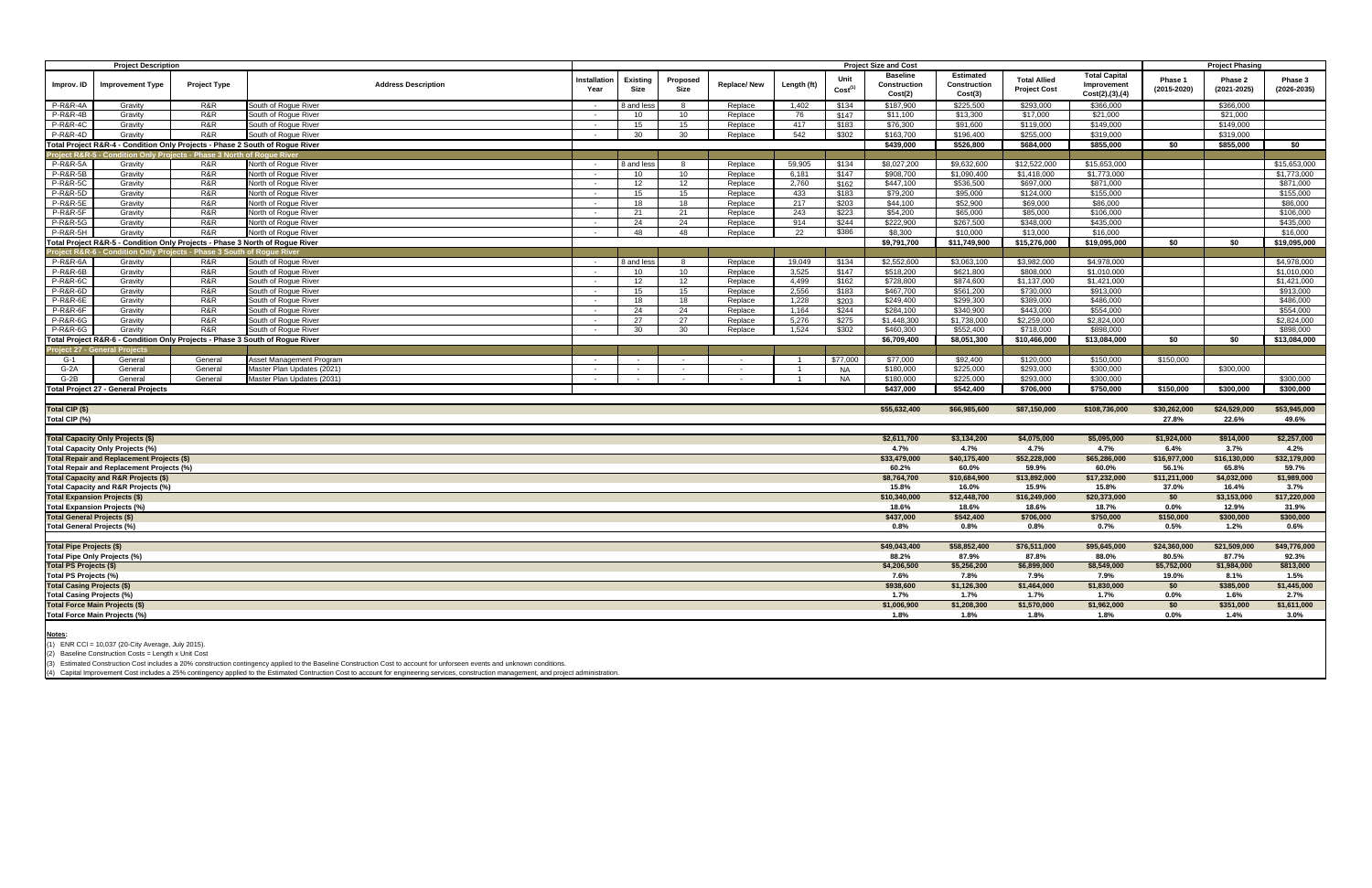| <b>Project Description</b>                                 |                                                                              |                                   |                                              |                      |                         | <b>Project Size and Cost</b> |                    |                |                             |                                            |                                             |                                            |                                                          |                        | <b>Project Phasing</b>     |                            |
|------------------------------------------------------------|------------------------------------------------------------------------------|-----------------------------------|----------------------------------------------|----------------------|-------------------------|------------------------------|--------------------|----------------|-----------------------------|--------------------------------------------|---------------------------------------------|--------------------------------------------|----------------------------------------------------------|------------------------|----------------------------|----------------------------|
| Improv. ID                                                 | <b>Improvement Type</b>                                                      | <b>Project Type</b>               | <b>Address Description</b>                   | nstallation<br>Year  | <b>Existing</b><br>Size | Proposed<br>Size             | Replace/New        | Length (ft)    | Unit<br>Cost <sup>(1)</sup> | <b>Baseline</b><br>Construction<br>Cost(2) | <b>Estimated</b><br>Construction<br>Cost(3) | <b>Total Allied</b><br><b>Project Cost</b> | <b>Total Capital</b><br>Improvement<br>Cost(2), (3), (4) | Phase 1<br>(2015-2020) | Phase 2<br>$(2021 - 2025)$ | Phase 3<br>$(2026 - 2035)$ |
| P-R&R-4A                                                   | Gravity                                                                      | R&R                               | South of Rogue River                         | $\sim$               | 8 and les               |                              | Replace            | 1.402          | \$134                       | \$187,900                                  | \$225,500                                   | \$293,000                                  | \$366,000                                                |                        | \$366,000                  |                            |
| <b>P-R&amp;R-4B</b>                                        | Gravity                                                                      | R&R                               | South of Rogue River                         | $\sim$               | 10 <sup>1</sup>         | 10 <sup>1</sup>              | Replace            | 76             | \$147                       | \$11.100                                   | \$13,300                                    | \$17,000                                   | \$21,000                                                 |                        | \$21.000                   |                            |
| <b>P-R&amp;R-4C</b>                                        | Gravity                                                                      | R&R                               | South of Roque River                         | $\sim$               | 15                      | 15                           | Replace            | 417            | \$183                       | \$76,300                                   | \$91,600                                    | \$119,000                                  | \$149,000                                                |                        | \$149,000                  |                            |
| <b>P-R&amp;R-4D</b>                                        | Gravity                                                                      | R&R                               | South of Roque River                         | $\sim$               | 30                      | 30                           | Replace            | 542            | \$302                       | \$163,700                                  | \$196.400                                   | \$255,000                                  | \$319,000                                                |                        | \$319,000                  |                            |
|                                                            | Total Project R&R-4 - Condition Only Projects - Phase 2 South of Rogue River |                                   |                                              |                      |                         |                              |                    |                |                             | \$439,000                                  | \$526,800                                   | \$684,000                                  | \$855,000                                                | \$0                    | \$855,000                  | \$0                        |
|                                                            | oject R&R-5 - Condition Only Projects - Phase 3 North of Roque Riveı         |                                   |                                              |                      |                         |                              |                    |                |                             |                                            |                                             |                                            |                                                          |                        |                            |                            |
| P-R&R-5A                                                   | Gravity                                                                      | R&R                               | North of Rogue River                         | $\sim$               | 8 and les               | <b>8</b>                     | Replace            | 59.905         | \$134                       | \$8.027.200                                | \$9.632.600                                 | \$12,522,000                               | \$15,653,000                                             |                        |                            | \$15,653,000               |
| <b>P-R&amp;R-5B</b>                                        | Gravity                                                                      | R&R                               | North of Rogue River                         | $\sim$ $-$           | 10                      | 10                           | Replace            | 6,181          | \$147                       | \$908,700                                  | \$1,090,400                                 | \$1,418,000                                | \$1,773,000                                              |                        |                            | \$1,773,000                |
| <b>P-R&amp;R-5C</b>                                        | Gravity                                                                      | R&R                               | North of Rogue River                         | $\sim$               | 12                      | 12                           | Replace            | 2.760          | \$162                       | \$447.100                                  | \$536,500                                   | \$697,000                                  | \$871.000                                                |                        |                            | \$871,000                  |
| <b>P-R&amp;R-5D</b>                                        | Gravity                                                                      | R&R                               | North of Roque River                         | $\sim$               | 15                      | 15                           | Replace            | 433            | \$183                       | \$79,200                                   | \$95,000                                    | \$124.000                                  | \$155,000                                                |                        |                            | \$155,000                  |
| <b>P-R&amp;R-5E</b>                                        | Gravity                                                                      | R&R                               | North of Roque River                         | $\sim$               | 18                      | 18                           | Replace            | 217            | \$203                       | \$44,100                                   | \$52,900                                    | \$69,000                                   | \$86,000                                                 |                        |                            | \$86,000                   |
| <b>P-R&amp;R-5F</b>                                        | Gravity                                                                      | R&R                               | North of Roque River                         | $\sim$               | 21                      | 21                           | Replace            | 243            | \$223                       | \$54,200                                   | \$65.000                                    | \$85,000                                   | \$106,000                                                |                        |                            | \$106,000                  |
| <b>P-R&amp;R-5G</b>                                        | Gravity                                                                      | R&R                               | North of Roque River                         | $\sim$               | 24                      | 24                           | Replace            | 914            | \$244                       | \$222,900                                  | \$267,500                                   | \$348,000                                  | \$435,000                                                |                        |                            | \$435,000                  |
| <b>P-R&amp;R-5H</b>                                        | Gravity                                                                      | R&R                               | North of Roque River                         | $\sim$               | 48                      | 48                           | Replace            | 22             | \$386                       | \$8,300                                    | \$10,000                                    | \$13,000                                   | \$16,000                                                 |                        |                            | \$16,000                   |
|                                                            | Total Project R&R-5 - Condition Only Projects - Phase 3 North of Rogue River |                                   |                                              |                      |                         |                              |                    |                |                             | \$9,791,700                                | $\sqrt{1,749,900}$                          | \$15,276,000                               | \$19,095,000                                             | \$0                    | \$0                        | \$19,095,000               |
| oiect R&R-                                                 |                                                                              | lition Only Projects - Phase 3 So | of Roque Rive                                |                      |                         |                              |                    |                |                             |                                            |                                             |                                            |                                                          |                        |                            |                            |
| P-R&R-6A<br><b>P-R&amp;R-6B</b>                            | Gravity                                                                      | R&R                               | South of Roque River                         | $\sim$ $-$<br>$\sim$ | 3 and less              |                              | Replace            | 19,049         | \$134                       | \$2,552,600                                | \$3,063,100                                 | \$3,982,000                                | \$4,978,000                                              |                        |                            | \$4,978,000                |
| P-R&R-6C                                                   | Gravity                                                                      | R&R<br>R&R                        | South of Roque River<br>South of Roque River |                      | 10<br>12                | 10<br>12                     | Replace            | 3,525<br>4.499 | \$147<br>\$162              | \$518,200<br>\$728,800                     | \$621,800<br>\$874,600                      | \$808,000<br>\$1,137,000                   | \$1,010,000<br>\$1,421,000                               |                        |                            | \$1,010,000<br>\$1,421,000 |
| <b>P-R&amp;R-6D</b>                                        | Gravity<br>Gravity                                                           | R&R                               | South of Roque River                         | $\sim$<br>$\sim$     | 15                      | 15                           | Replace<br>Replace | 2,556          | \$183                       | \$467,700                                  | \$561,200                                   | \$730,000                                  | \$913,000                                                |                        |                            | \$913,000                  |
| <b>P-R&amp;R-6E</b>                                        | Gravity                                                                      | R&R                               | South of Roque River                         | $\sim$               | 18                      | 18                           | Replace            | 1,228          | \$203                       | \$249,400                                  | \$299,300                                   | \$389,000                                  | \$486,000                                                |                        |                            | \$486,000                  |
| <b>P-R&amp;R-6F</b>                                        | Gravity                                                                      | R&R                               | South of Rogue River                         | $\sim$               | 24                      | 24                           | Replace            | 1,164          | \$244                       | \$284,100                                  | \$340,900                                   | \$443,000                                  | \$554,000                                                |                        |                            | \$554,000                  |
| <b>P-R&amp;R-6G</b>                                        | Gravity                                                                      | R&R                               | South of Roque River                         | $\sim$               | 27                      | 27                           | Replace            | 5,276          | \$275                       | \$1,448,300                                | \$1,738,000                                 | \$2,259,000                                | \$2,824,000                                              |                        |                            | \$2.824.000                |
| <b>P-R&amp;R-6G</b>                                        | Gravity                                                                      | R&R                               | South of Rogue River                         |                      | 30                      | 30                           | Replace            | 1,524          | \$302                       | \$460,300                                  | \$552,400                                   | \$718,000                                  | \$898,000                                                |                        |                            | \$898,000                  |
|                                                            | Total Project R&R-6 - Condition Only Projects - Phase 3 South of Rogue River |                                   |                                              |                      |                         |                              |                    |                |                             | \$6,709,400                                | \$8,051,300                                 | \$10,466,000                               | \$13,084,000                                             | \$0                    | \$0                        | \$13,084,000               |
| ect 27 - G                                                 | eral Project                                                                 |                                   |                                              |                      |                         |                              |                    |                |                             |                                            |                                             |                                            |                                                          |                        |                            |                            |
| G-1                                                        | General                                                                      | General                           | Asset Management Program                     | $\sim$ $-$           | $\sim$                  | $\sim$                       | $\sim$             | $\overline{1}$ | \$77,000                    | \$77,000                                   | \$92,400                                    | \$120,000                                  | \$150,000                                                | \$150,000              |                            |                            |
| $G-2A$                                                     | General                                                                      | General                           | Master Plan Updates (2021)                   | $\sim$               | $\sim$                  | $\sim$                       | $\sim$             |                | <b>NA</b>                   | \$180,000                                  | \$225,000                                   | \$293.000                                  | \$300,000                                                |                        | \$300,000                  |                            |
| $G-2B$                                                     | General                                                                      | General                           | Master Plan Updates (2031)                   | $\sim$               | $\sim$                  | $\sim$                       | $\sim 10^{-1}$     |                | <b>NA</b>                   | \$180,000                                  | \$225,000                                   | \$293.000                                  | \$300,000                                                |                        |                            | \$300,000                  |
|                                                            | <b>Total Project 27 - General Projects</b>                                   |                                   |                                              |                      |                         |                              |                    |                |                             | \$437,000                                  | \$542,400                                   | \$706,000                                  | \$750,000                                                | \$150,000              | \$300,000                  | \$300,000                  |
|                                                            |                                                                              |                                   |                                              |                      |                         |                              |                    |                |                             |                                            |                                             |                                            |                                                          |                        |                            |                            |
| Total CIP (\$)                                             |                                                                              |                                   |                                              |                      |                         |                              |                    |                |                             | \$55,632,400                               | \$66,985,600                                | \$87,150,000                               | \$108,736,000                                            | \$30,262,000           | \$24,529,000               | \$53,945,000               |
| Total CIP (%)                                              |                                                                              |                                   |                                              |                      |                         |                              |                    |                |                             |                                            |                                             |                                            |                                                          | 27.8%                  | 22.6%                      | 49.6%                      |
|                                                            |                                                                              |                                   |                                              |                      |                         |                              |                    |                |                             |                                            |                                             |                                            |                                                          |                        |                            |                            |
|                                                            | <b>Total Capacity Only Projects (\$)</b>                                     |                                   |                                              |                      |                         |                              |                    |                |                             | \$2,611.700                                | \$3,134,200                                 | \$4,075,000                                | \$5,095,000                                              | \$1,924,000            | \$914,000                  | \$2,257,000                |
|                                                            | Total Capacity Only Projects (%)                                             |                                   |                                              |                      |                         |                              |                    |                |                             | 4.7%                                       | 4.7%                                        | 4.7%                                       | 4.7%                                                     | 6.4%                   | 3.7%                       | 4.2%                       |
|                                                            | Total Repair and Replacement Projects (\$)                                   |                                   |                                              |                      |                         |                              |                    |                |                             | \$33,479,000                               | \$40,175,400                                | \$52,228,000                               | \$65,286,000                                             | \$16,977,000           | \$16,130,000               | \$32,179,000               |
|                                                            | Total Repair and Replacement Projects (%)                                    |                                   |                                              |                      |                         |                              |                    |                |                             | 60.2%                                      | 60.0%                                       | 59.9%                                      | 60.0%                                                    | 56.1%                  | 65.8%                      | 59.7%                      |
|                                                            | Total Capacity and R&R Projects (\$)                                         |                                   |                                              |                      |                         |                              |                    |                |                             | \$8,764,700                                | \$10,684,900                                | \$13,892,000                               | \$17,232,000                                             | \$11,211,000           | \$4,032,000                | \$1,989,000                |
|                                                            | Total Capacity and R&R Projects (%)                                          |                                   |                                              |                      |                         |                              |                    |                |                             | 15.8%                                      | 16.0%                                       | 15.9%                                      | 15.8%                                                    | 37.0%                  | 16.4%                      | 3.7%                       |
|                                                            | <b>Total Expansion Projects (\$)</b>                                         |                                   |                                              |                      |                         |                              |                    |                |                             | \$10,340,000                               | \$12,448,700                                | \$16,249,000                               | \$20,373,000                                             | \$0                    | \$3,153,000                | \$17,220,000               |
|                                                            | <b>Total Expansion Projects (%)</b>                                          |                                   |                                              |                      |                         |                              |                    |                |                             | 18.6%                                      | 18.6%                                       | 18.6%                                      | 18.7%                                                    | $0.0\%$                | 12.9%                      | 31.9%                      |
| <b>Total General Projects (\$)</b>                         |                                                                              |                                   |                                              |                      |                         |                              |                    |                |                             | \$437,000                                  | \$542,400                                   | \$706,000                                  | \$750,000                                                | \$150,000              | \$300,000                  | \$300,000                  |
| <b>Total General Projects (%)</b>                          |                                                                              |                                   |                                              |                      |                         |                              |                    |                |                             | 0.8%                                       | 0.8%                                        | 0.8%                                       | 0.7%                                                     | 0.5%                   | 1.2%                       | 0.6%                       |
|                                                            |                                                                              |                                   |                                              |                      |                         |                              |                    |                |                             |                                            |                                             |                                            |                                                          |                        |                            |                            |
| <b>Total Pipe Projects (\$)</b>                            |                                                                              |                                   |                                              |                      |                         |                              |                    |                |                             | \$49,043,400                               | \$58,852,400                                | \$76,511,000                               | \$95,645,000                                             | \$24,360,000           | \$21,509,000               | \$49,776,000               |
|                                                            | Total Pipe Only Projects (%)                                                 |                                   |                                              |                      |                         |                              |                    |                |                             | 88.2%<br>\$4,206,500                       | 87.9%<br>\$5,256,200                        | 87.8%<br>\$6,899,000                       | 88.0%<br>\$8,549,000                                     | 80.5%<br>\$5,752,000   | 87.7%                      | 92.3%<br>\$813,000         |
| Total PS Projects (\$)                                     |                                                                              |                                   |                                              |                      |                         |                              |                    |                |                             | 7.6%                                       |                                             |                                            | 7.9%                                                     |                        | \$1,984,000<br>8.1%        | 1.5%                       |
| Total PS Projects (%)<br><b>Total Casing Projects (\$)</b> |                                                                              |                                   |                                              |                      |                         |                              |                    |                |                             | \$938,600                                  | 7.8%<br>\$1,126,300                         | 7.9%<br>\$1,464,000                        | \$1,830,000                                              | 19.0%<br>\$0           | \$385,000                  | \$1,445,000                |
| <b>Total Casing Projects (%)</b>                           |                                                                              |                                   |                                              |                      |                         |                              |                    |                |                             | 1.7%                                       | 1.7%                                        | 1.7%                                       | 1.7%                                                     | $0.0\%$                | $1.6\%$                    | $2.7\%$                    |
|                                                            | <b>Total Force Main Projects (\$)</b>                                        |                                   |                                              |                      |                         |                              |                    |                |                             | \$1,006,900                                | \$1,208,300                                 | \$1,570,000                                | \$1,962,000                                              | \$0                    | \$351,000                  | \$1,611,000                |
|                                                            | Total Force Main Projects (%                                                 |                                   |                                              |                      |                         |                              |                    |                |                             | 1.8%                                       | 1.8%                                        | 1.8%                                       | 1.8%                                                     | $0.0\%$                | 1.4%                       | $3.0\%$                    |
|                                                            |                                                                              |                                   |                                              |                      |                         |                              |                    |                |                             |                                            |                                             |                                            |                                                          |                        |                            |                            |
|                                                            |                                                                              |                                   |                                              |                      |                         |                              |                    |                |                             |                                            |                                             |                                            |                                                          |                        |                            |                            |

**<u>Notes</u>:**<br>(1) ENR CCI = 10,037 (20-City Average, July 2015).

(2) Baseline Construction Costs = Length x Unit Cost

(3) Estimated Construction Cost includes a 20% construction contingency applied to the Baseline Construction Cost to account for unforseen events and unknown conditions.

(4) Capital Improvement Cost includes a 25% contingency applied to the Estimated Contruction Cost to account for engineering services, construction management, and project administration.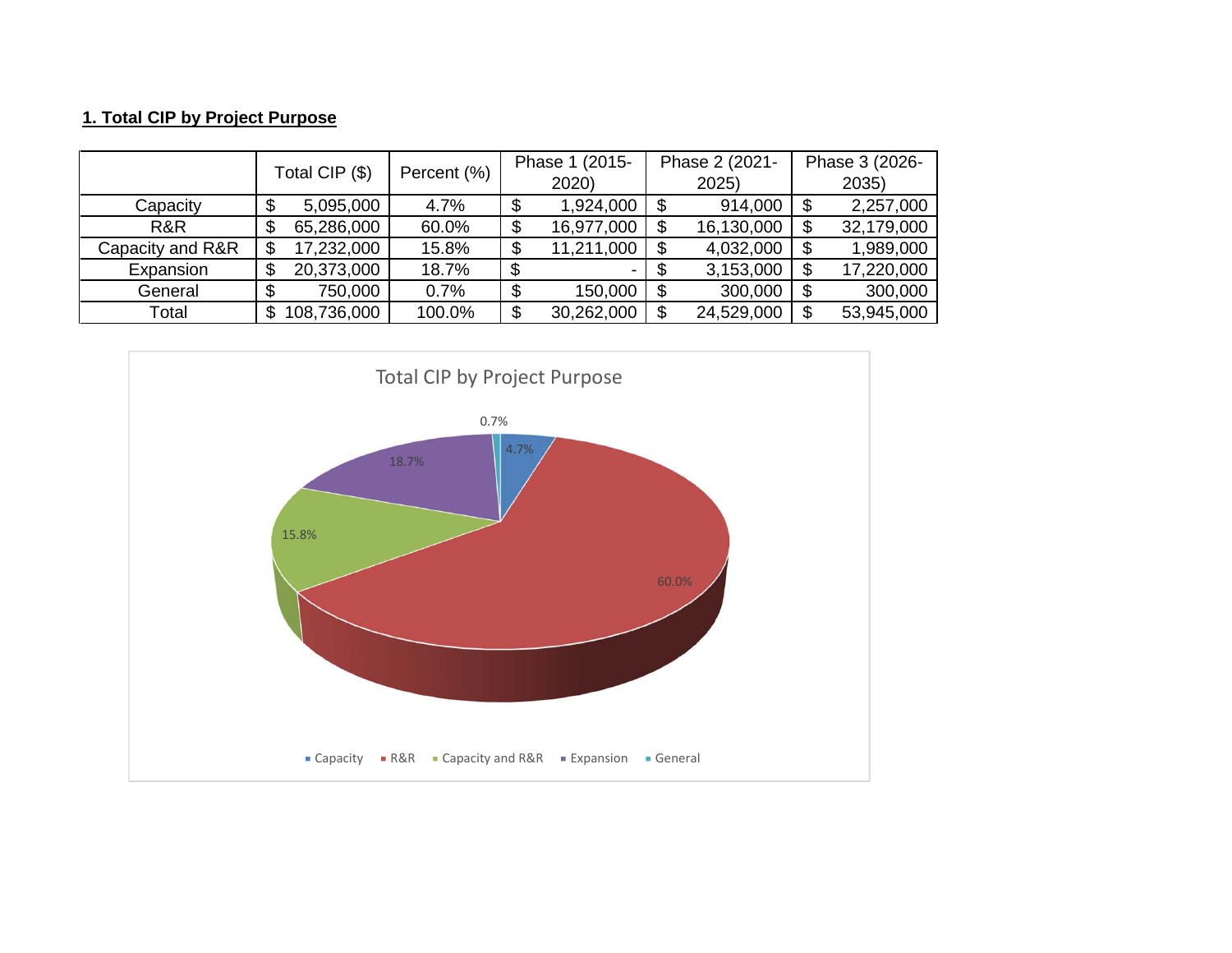## **1. Total CIP by Project Purpose**

|                  | Total CIP (\$) | Percent (%) |    | Phase 1 (2015- | Phase 2 (2021- | Phase 3 (2026-<br>2035) |            |  |
|------------------|----------------|-------------|----|----------------|----------------|-------------------------|------------|--|
|                  |                |             |    | 2020)          | 2025)          |                         |            |  |
| Capacity         | 5,095,000      | 4.7%        |    | 1,924,000      | 914,000        |                         | 2,257,000  |  |
| R&R              | 65,286,000     | 60.0%       | ۰D | 16,977,000     | 16,130,000     |                         | 32,179,000 |  |
| Capacity and R&R | 17,232,000     | 15.8%       |    | 11,211,000     | 4,032,000      |                         | 1,989,000  |  |
| Expansion        | 20,373,000     | 18.7%       |    |                | 3,153,000      | S                       | 17,220,000 |  |
| General          | 750,000        | 0.7%        |    | 150,000        | 300,000        |                         | 300,000    |  |
| Total            | 108,736,000    | 100.0%      | J  | 30,262,000     | 24,529,000     | \$.                     | 53,945,000 |  |

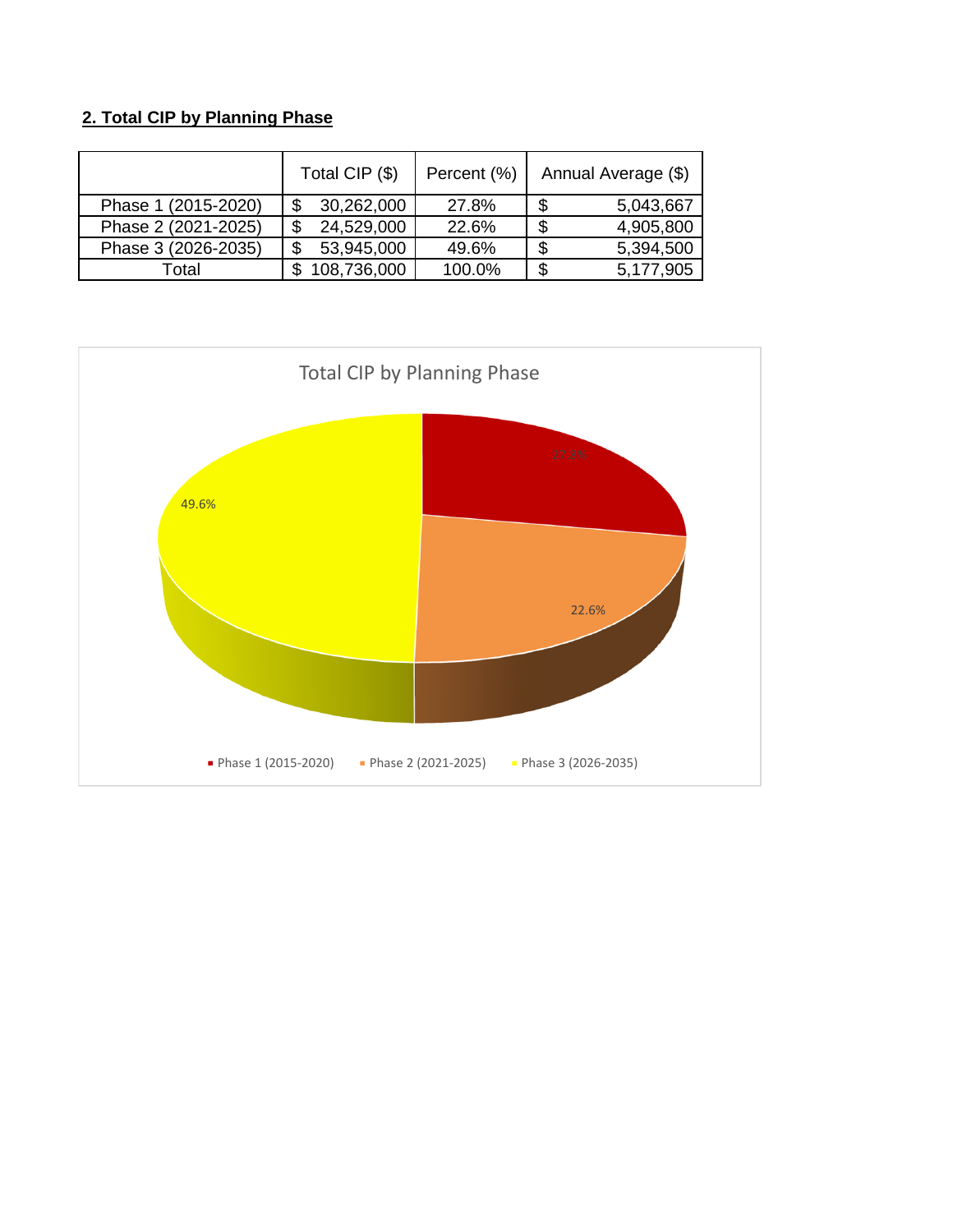## **2. Total CIP by Planning Phase**

|                     | Total CIP (\$) | Percent (%) | Annual Average (\$) |
|---------------------|----------------|-------------|---------------------|
| Phase 1 (2015-2020) | 30,262,000     | 27.8%       | 5,043,667           |
| Phase 2 (2021-2025) | 24,529,000     | 22.6%       | 4,905,800           |
| Phase 3 (2026-2035) | 53,945,000     | 49.6%       | 5,394,500           |
| Total               | 108,736,000    | 100.0%      | 5,177,905           |